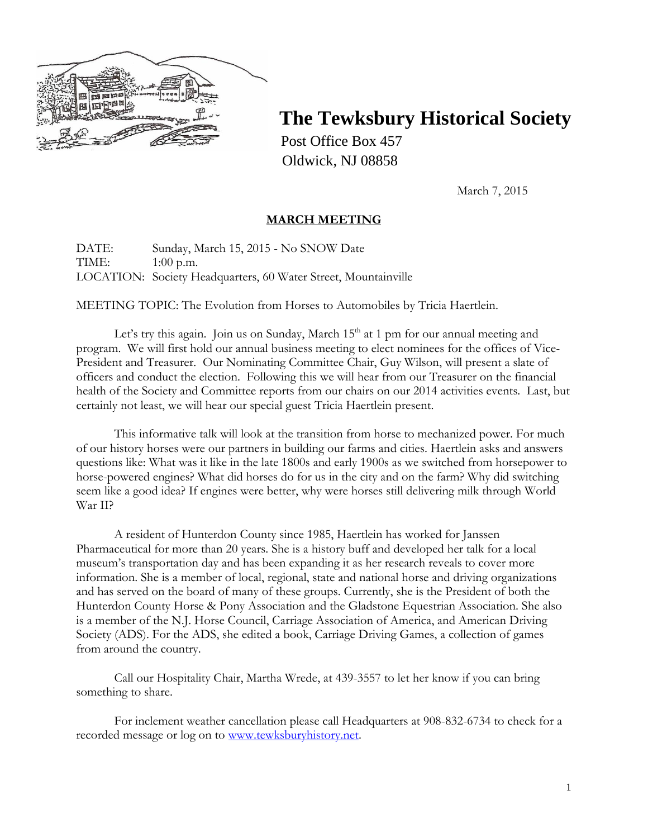

# **The Tewksbury Historical Society**

Post Office Box 457 Oldwick, NJ 08858

March 7, 2015

## **MARCH MEETING**

DATE: Sunday, March 15, 2015 - No SNOW Date TIME: 1:00 p.m. LOCATION: Society Headquarters, 60 Water Street, Mountainville

MEETING TOPIC: The Evolution from Horses to Automobiles by Tricia Haertlein.

Let's try this again. Join us on Sunday, March  $15<sup>th</sup>$  at 1 pm for our annual meeting and program. We will first hold our annual business meeting to elect nominees for the offices of Vice-President and Treasurer. Our Nominating Committee Chair, Guy Wilson, will present a slate of officers and conduct the election. Following this we will hear from our Treasurer on the financial health of the Society and Committee reports from our chairs on our 2014 activities events. Last, but certainly not least, we will hear our special guest Tricia Haertlein present.

This informative talk will look at the transition from horse to mechanized power. For much of our history horses were our partners in building our farms and cities. Haertlein asks and answers questions like: What was it like in the late 1800s and early 1900s as we switched from horsepower to horse-powered engines? What did horses do for us in the city and on the farm? Why did switching seem like a good idea? If engines were better, why were horses still delivering milk through World War II?

A resident of Hunterdon County since 1985, Haertlein has worked for Janssen Pharmaceutical for more than 20 years. She is a history buff and developed her talk for a local museum's transportation day and has been expanding it as her research reveals to cover more information. She is a member of local, regional, state and national horse and driving organizations and has served on the board of many of these groups. Currently, she is the President of both the Hunterdon County Horse & Pony Association and the Gladstone Equestrian Association. She also is a member of the N.J. Horse Council, Carriage Association of America, and American Driving Society (ADS). For the ADS, she edited a book, Carriage Driving Games, a collection of games from around the country.

 Call our Hospitality Chair, Martha Wrede, at 439-3557 to let her know if you can bring something to share.

For inclement weather cancellation please call Headquarters at 908-832-6734 to check for a recorded message or log on to [www.tewksburyhistory.net.](http://www.tewksburyhistory.net/)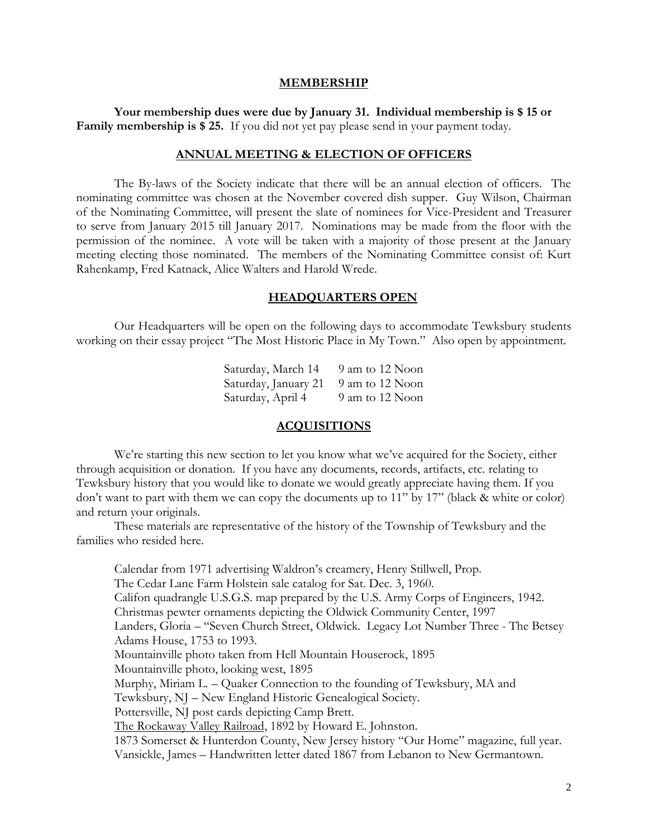#### **MEMBERSHIP**

**Your membership dues were due by January 31. Individual membership is \$ 15 or Family membership is \$ 25.** If you did not yet pay please send in your payment today.

#### **ANNUAL MEETING & ELECTION OF OFFICERS**

The By-laws of the Society indicate that there will be an annual election of officers. The nominating committee was chosen at the November covered dish supper. Guy Wilson, Chairman of the Nominating Committee, will present the slate of nominees for Vice-President and Treasurer to serve from January 2015 till January 2017. Nominations may be made from the floor with the permission of the nominee. A vote will be taken with a majority of those present at the January meeting electing those nominated. The members of the Nominating Committee consist of: Kurt Rahenkamp, Fred Katnack, Alice Walters and Harold Wrede.

#### **HEADQUARTERS OPEN**

Our Headquarters will be open on the following days to accommodate Tewksbury students working on their essay project "The Most Historic Place in My Town." Also open by appointment.

> Saturday, March 14 9 am to 12 Noon Saturday, January 21 9 am to 12 Noon Saturday, April 4 9 am to 12 Noon

#### **ACQUISITIONS**

We're starting this new section to let you know what we've acquired for the Society, either through acquisition or donation. If you have any documents, records, artifacts, etc. relating to Tewksbury history that you would like to donate we would greatly appreciate having them. If you don't want to part with them we can copy the documents up to 11" by 17" (black & white or color) and return your originals.

These materials are representative of the history of the Township of Tewksbury and the families who resided here.

Calendar from 1971 advertising Waldron's creamery, Henry Stillwell, Prop. The Cedar Lane Farm Holstein sale catalog for Sat. Dec. 3, 1960. Califon quadrangle U.S.G.S. map prepared by the U.S. Army Corps of Engineers, 1942. Christmas pewter ornaments depicting the Oldwick Community Center, 1997 Landers, Gloria – "Seven Church Street, Oldwick. Legacy Lot Number Three - The Betsey Adams House, 1753 to 1993. Mountainville photo taken from Hell Mountain Houserock, 1895 Mountainville photo, looking west, 1895 Murphy, Miriam L. – Quaker Connection to the founding of Tewksbury, MA and Tewksbury, NJ – New England Historic Genealogical Society. Pottersville, NJ post cards depicting Camp Brett. The Rockaway Valley Railroad, 1892 by Howard E. Johnston. 1873 Somerset & Hunterdon County, New Jersey history "Our Home" magazine, full year. Vansickle, James – Handwritten letter dated 1867 from Lebanon to New Germantown.